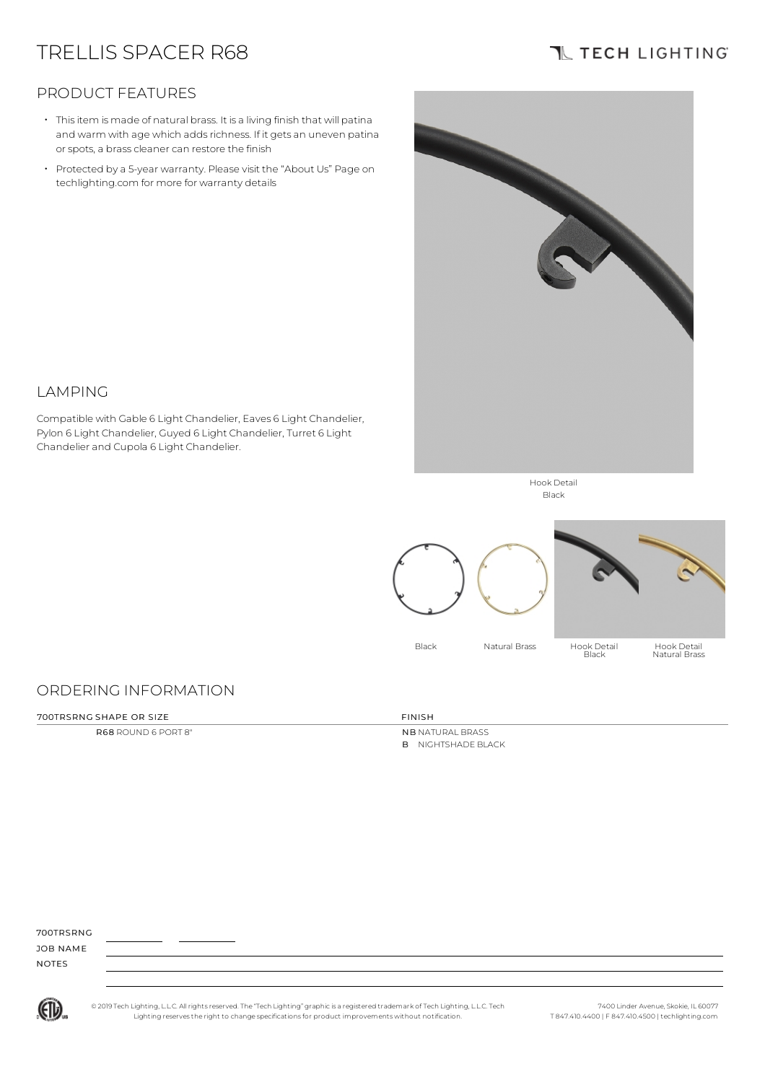# TRELLIS SPACER R68

## **TL TECH LIGHTING**

### PRODUCT FEATURES

LAMPING

- Thisitem is made of natural brass. It is a living finish that will patina and warm with age which adds richness. If it gets an uneven patina or spots, a brass cleaner can restore the finish
- Protected by a 5-year warranty. Please visit the "About Us" Page on techlighting.com for more for warranty details

Compatible with Gable 6 Light Chandelier, Eaves 6 Light Chandelier, Pylon 6 Light Chandelier, Guyed 6 Light Chandelier, Turret 6 Light



Hook Detail Black



## ORDERING INFORMATION

Chandelier and Cupola 6 Light Chandelier.

| 700TRSRNG SHAPE OR SIZE | <b>FINISH</b> |
|-------------------------|---------------|
|                         |               |
|                         |               |

R68 ROUND 6 PORT 8" NB NATURAL BRASS B NIGHTSHADE BLACK

#### 700TRSRNG

JOB NAME NOTES



© 2019 Tech Lighting, L.L.C. All rightsreserved. The "Tech Lighting" graphicis a registered trademark of Tech Lighting, L.L.C. Tech Lighting reservesthe right to change specificationsfor product improvements without notification.

7400 Linder Avenue, Skokie, IL 60077 T 847.410.4400 | F 847.410.4500 | techlighting.com